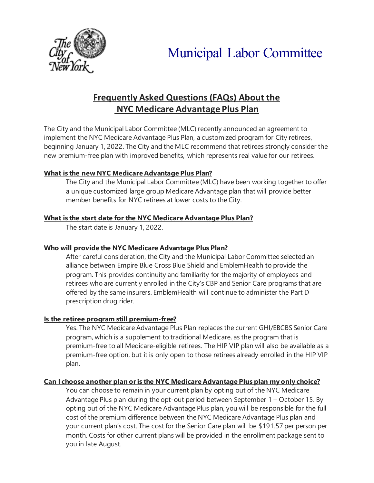

# Municipal Labor Committee

# **Frequently Asked Questions (FAQs) About the NYC Medicare Advantage Plus Plan**

The City and the Municipal Labor Committee (MLC) recently announced an agreement to implement the NYC Medicare Advantage Plus Plan, a customized program for City retirees, beginning January 1, 2022. The City and the MLC recommend that retirees strongly consider the new premium-free plan with improved benefits, which represents real value for our retirees.

## **What is the new NYC Medicare Advantage Plus Plan?**

The City and the Municipal Labor Committee (MLC) have been working together to offer a unique customized large group Medicare Advantage plan that will provide better member benefits for NYC retirees at lower costs to the City.

## **What is the start date for the NYC Medicare Advantage Plus Plan?**

The start date is January 1, 2022.

# **Who will provide the NYC Medicare Advantage Plus Plan?**

After careful consideration, the City and the Municipal Labor Committee selected an alliance between Empire Blue Cross Blue Shield and EmblemHealth to provide the program. This provides continuity and familiarity for the majority of employees and retirees who are currently enrolled in the City's CBP and Senior Care programs that are offered by the same insurers. EmblemHealth will continue to administer the Part D prescription drug rider.

# **Is the retiree program still premium-free?**

Yes. The NYC Medicare Advantage Plus Plan replaces the current GHI/EBCBS Senior Care program, which is a supplement to traditional Medicare, as the program that is premium-free to all Medicare-eligible retirees. The HIP VIP plan will also be available as a premium-free option, but it is only open to those retirees already enrolled in the HIP VIP plan.

# **Can I choose another plan or is the NYC Medicare Advantage Plus plan my only choice?**

You can choose to remain in your current plan by opting out of the NYC Medicare Advantage Plus plan during the opt-out period between September 1 – October 15. By opting out of the NYC Medicare Advantage Plus plan, you will be responsible for the full cost of the premium difference between the NYC Medicare Advantage Plus plan and your current plan's cost. The cost for the Senior Care plan will be \$191.57 per person per month. Costs for other current plans will be provided in the enrollment package sent to you in late August.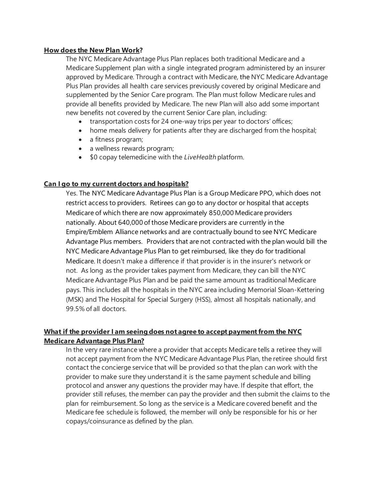#### **How does the New Plan Work?**

The NYC Medicare Advantage Plus Plan replaces both traditional Medicare and a Medicare Supplement plan with a single integrated program administered by an insurer approved by Medicare. Through a contract with Medicare, the NYC Medicare Advantage Plus Plan provides all health care services previously covered by original Medicare and supplemented by the Senior Care program. The Plan must follow Medicare rules and provide all benefits provided by Medicare. The new Plan will also add some important new benefits not covered by the current Senior Care plan, including:

- transportation costs for 24 one-way trips per year to doctors' offices;
- home meals delivery for patients after they are discharged from the hospital;
- a fitness program;
- a wellness rewards program;
- \$0 copay telemedicine with the *LiveHealth* platform.

#### **Can I go to my current doctors and hospitals?**

Yes. The NYC Medicare Advantage Plus Plan is a Group Medicare PPO, which does not restrict access to providers. Retirees can go to any doctor or hospital that accepts Medicare of which there are now approximately 850,000 Medicare providers nationally. About 640,000 of those Medicare providers are currently in the Empire/Emblem Alliance networks and are contractually bound to see NYC Medicare Advantage Plus members. Providers that are not contracted with the plan would bill the NYC Medicare Advantage Plus Plan to get reimbursed, like they do for traditional Medicare. It doesn't make a difference if that provider is in the insurer's network or not. As long as the provider takes payment from Medicare, they can bill the NYC Medicare Advantage Plus Plan and be paid the same amount as traditional Medicare pays. This includes all the hospitals in the NYC area including Memorial Sloan-Kettering (MSK) and The Hospital for Special Surgery (HSS), almost all hospitals nationally, and 99.5% of all doctors.

#### **What if the provider I am seeing does not agree to accept payment from the NYC Medicare Advantage Plus Plan?**

In the very rare instance where a provider that accepts Medicare tells a retiree they will not accept payment from the NYC Medicare Advantage Plus Plan, the retiree should first contact the concierge service that will be provided so that the plan can work with the provider to make sure they understand it is the same payment schedule and billing protocol and answer any questions the provider may have. If despite that effort, the provider still refuses, the member can pay the provider and then submit the claims to the plan for reimbursement. So long as the service is a Medicare covered benefit and the Medicare fee schedule is followed, the member will only be responsible for his or her copays/coinsurance as defined by the plan.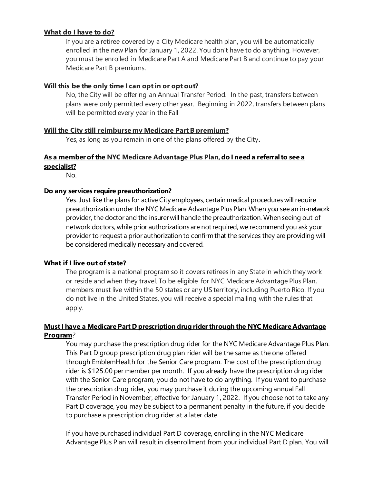#### **What do I have to do?**

If you are a retiree covered by a City Medicare health plan, you will be automatically enrolled in the new Plan for January 1, 2022. You don't have to do anything. However, you must be enrolled in Medicare Part A and Medicare Part B and continue to pay your Medicare Part B premiums.

#### **Will this be the only time I can opt in or opt out?**

No, the City will be offering an Annual Transfer Period. In the past, transfers between plans were only permitted every other year. Beginning in 2022, transfers between plans will be permitted every year in the Fall

#### **Will the City still reimburse my Medicare Part B premium?**

Yes, as long as you remain in one of the plans offered by the City**.**

# **As a member of the NYC Medicare Advantage Plus Plan, do I need a referral to see a specialist?**

No.

#### **Do any services require preauthorization?**

Yes. Just like the plans for active City employees, certain medical procedures will require preauthorization underthe NYC Medicare Advantage Plus Plan.When you see an in-network provider, the doctor and the insurer will handle the preauthorization. When seeing out-ofnetwork doctors, while prior authorizations are notrequired, we recommend you ask your provider to request a prior authorization to confirmthat the services they are providing will be considered medically necessary and covered.

#### **What if I live out of state?**

The program is a national program so it covers retirees in any State in which they work or reside and when they travel. To be eligible for NYC Medicare Advantage Plus Plan, members must live within the 50 states or any US territory, including Puerto Rico. If you do not live in the United States, you will receive a special mailing with the rules that apply.

#### **MustI have a Medicare Part D prescription drug riderthrough the NYC Medicare Advantage Program***?*

You may purchase the prescription drug rider for the NYC Medicare Advantage Plus Plan. This Part D group prescription drug plan rider will be the same as the one offered through EmblemHealth for the Senior Care program. The cost of the prescription drug rider is \$125.00 per member per month. If you already have the prescription drug rider with the Senior Care program, you do not have to do anything. If you want to purchase the prescription drug rider, you may purchase it during the upcoming annual Fall Transfer Period in November, effective for January 1, 2022. If you choose not to take any Part D coverage, you may be subject to a permanent penalty in the future, if you decide to purchase a prescription drug rider at a later date.

If you have purchased individual Part D coverage, enrolling in the NYC Medicare Advantage Plus Plan will result in disenrollment from your individual Part D plan. You will